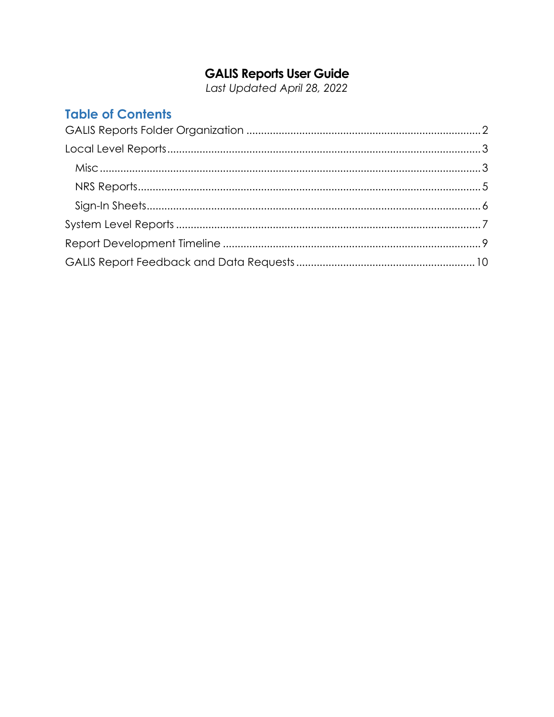# **GALIS Reports User Guide**<br>Last Updated April 28, 2022

## **Table of Contents**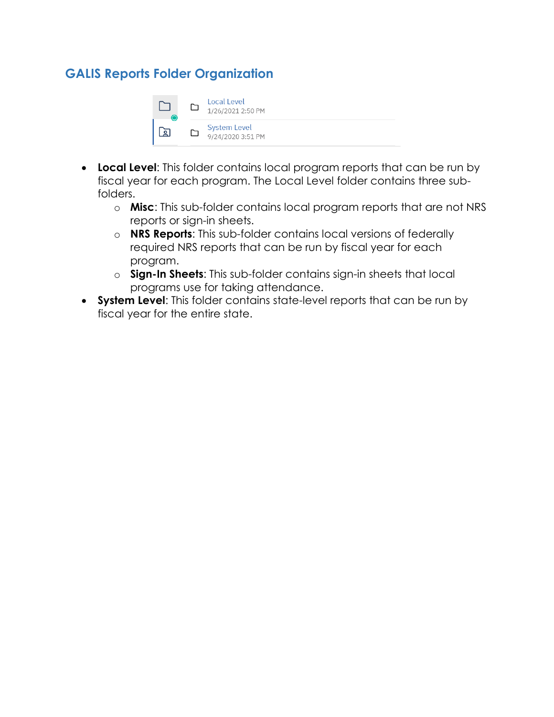## <span id="page-1-0"></span>**GALIS Reports Folder Organization**



- **Local Level**: This folder contains local program reports that can be run by fiscal year for each program. The Local Level folder contains three subfolders.
	- o **Misc**: This sub-folder contains local program reports that are not NRS reports or sign-in sheets.
	- o **NRS Reports**: This sub-folder contains local versions of federally required NRS reports that can be run by fiscal year for each program.
	- o **Sign-In Sheets**: This sub-folder contains sign-in sheets that local programs use for taking attendance.
- **System Level**: This folder contains state-level reports that can be run by fiscal year for the entire state.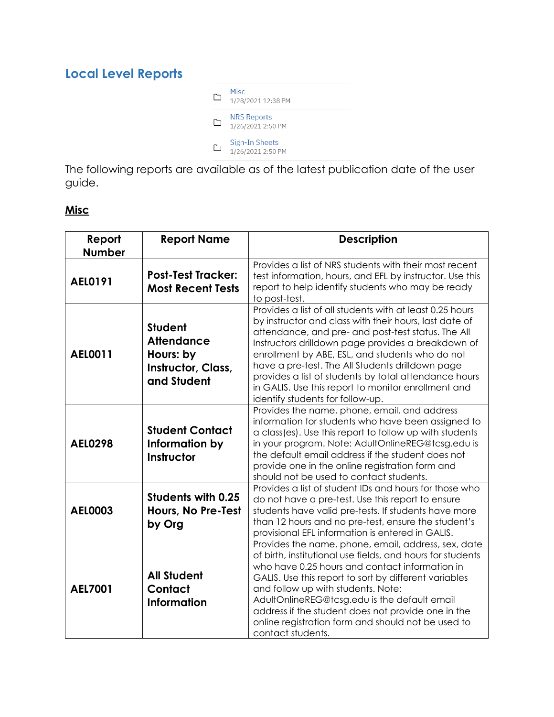# <span id="page-2-0"></span>**Local Level Reports**



The following reports are available as of the latest publication date of the user guide.

#### <span id="page-2-1"></span>**Misc**

| Report<br><b>Number</b> | <b>Report Name</b>                                                                    | <b>Description</b>                                                                                                                                                                                                                                                                                                                                                                                                                                                                        |
|-------------------------|---------------------------------------------------------------------------------------|-------------------------------------------------------------------------------------------------------------------------------------------------------------------------------------------------------------------------------------------------------------------------------------------------------------------------------------------------------------------------------------------------------------------------------------------------------------------------------------------|
| AEL0191                 | <b>Post-Test Tracker:</b><br><b>Most Recent Tests</b>                                 | Provides a list of NRS students with their most recent<br>test information, hours, and EFL by instructor. Use this<br>report to help identify students who may be ready<br>to post-test.                                                                                                                                                                                                                                                                                                  |
| <b>AEL0011</b>          | <b>Student</b><br><b>Attendance</b><br>Hours: by<br>Instructor, Class,<br>and Student | Provides a list of all students with at least 0.25 hours<br>by instructor and class with their hours, last date of<br>attendance, and pre- and post-test status. The All<br>Instructors drilldown page provides a breakdown of<br>enrollment by ABE, ESL, and students who do not<br>have a pre-test. The All Students drilldown page<br>provides a list of students by total attendance hours<br>in GALIS. Use this report to monitor enrollment and<br>identify students for follow-up. |
| <b>AEL0298</b>          | <b>Student Contact</b><br>Information by<br>Instructor                                | Provides the name, phone, email, and address<br>information for students who have been assigned to<br>a class(es). Use this report to follow up with students<br>in your program. Note: AdultOnlineREG@tcsg.edu is<br>the default email address if the student does not<br>provide one in the online registration form and<br>should not be used to contact students.                                                                                                                     |
| <b>AEL0003</b>          | <b>Students with 0.25</b><br>Hours, No Pre-Test<br>by Org                             | Provides a list of student IDs and hours for those who<br>do not have a pre-test. Use this report to ensure<br>students have valid pre-tests. If students have more<br>than 12 hours and no pre-test, ensure the student's<br>provisional EFL information is entered in GALIS.                                                                                                                                                                                                            |
| <b>AEL7001</b>          | <b>All Student</b><br>Contact<br><b>Information</b>                                   | Provides the name, phone, email, address, sex, date<br>of birth, institutional use fields, and hours for students<br>who have 0.25 hours and contact information in<br>GALIS. Use this report to sort by different variables<br>and follow up with students. Note:<br>AdultOnlineREG@tcsg.edu is the default email<br>address if the student does not provide one in the<br>online registration form and should not be used to<br>contact students.                                       |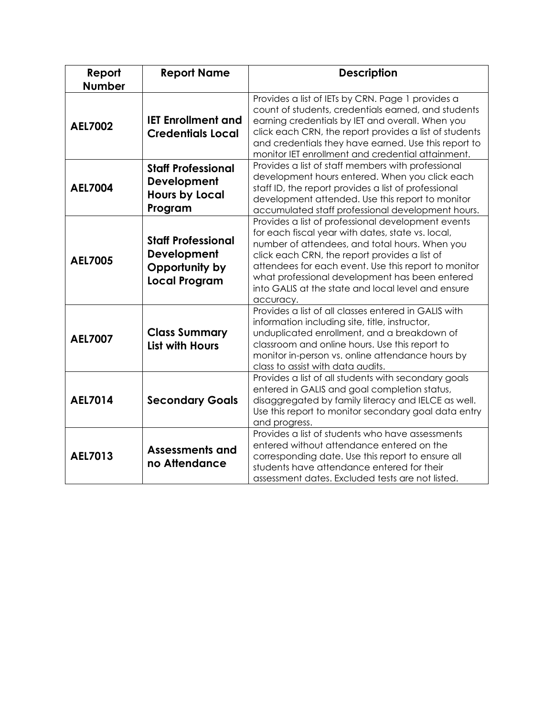| Report<br><b>Number</b> | <b>Report Name</b>                                                                 | <b>Description</b>                                                                                                                                                                                                                                                                                                                                                                      |
|-------------------------|------------------------------------------------------------------------------------|-----------------------------------------------------------------------------------------------------------------------------------------------------------------------------------------------------------------------------------------------------------------------------------------------------------------------------------------------------------------------------------------|
| <b>AEL7002</b>          | <b>IET Enrollment and</b><br><b>Credentials Local</b>                              | Provides a list of IETs by CRN. Page 1 provides a<br>count of students, credentials earned, and students<br>earning credentials by IET and overall. When you<br>click each CRN, the report provides a list of students<br>and credentials they have earned. Use this report to<br>monitor IET enrollment and credential attainment.                                                     |
| <b>AEL7004</b>          | <b>Staff Professional</b><br>Development<br><b>Hours by Local</b><br>Program       | Provides a list of staff members with professional<br>development hours entered. When you click each<br>staff ID, the report provides a list of professional<br>development attended. Use this report to monitor<br>accumulated staff professional development hours.                                                                                                                   |
| <b>AEL7005</b>          | <b>Staff Professional</b><br>Development<br>Opportunity by<br><b>Local Program</b> | Provides a list of professional development events<br>for each fiscal year with dates, state vs. local,<br>number of attendees, and total hours. When you<br>click each CRN, the report provides a list of<br>attendees for each event. Use this report to monitor<br>what professional development has been entered<br>into GALIS at the state and local level and ensure<br>accuracy. |
| <b>AEL7007</b>          | <b>Class Summary</b><br><b>List with Hours</b>                                     | Provides a list of all classes entered in GALIS with<br>information including site, title, instructor,<br>unduplicated enrollment, and a breakdown of<br>classroom and online hours. Use this report to<br>monitor in-person vs. online attendance hours by<br>class to assist with data audits.                                                                                        |
| <b>AEL7014</b>          | <b>Secondary Goals</b>                                                             | Provides a list of all students with secondary goals<br>entered in GALIS and goal completion status,<br>disaggregated by family literacy and IELCE as well.<br>Use this report to monitor secondary goal data entry<br>and progress.                                                                                                                                                    |
| AEL7013                 | Assessments and<br>no Attendance                                                   | Provides a list of students who have assessments<br>entered without attendance entered on the<br>corresponding date. Use this report to ensure all<br>students have attendance entered for their<br>assessment dates. Excluded tests are not listed.                                                                                                                                    |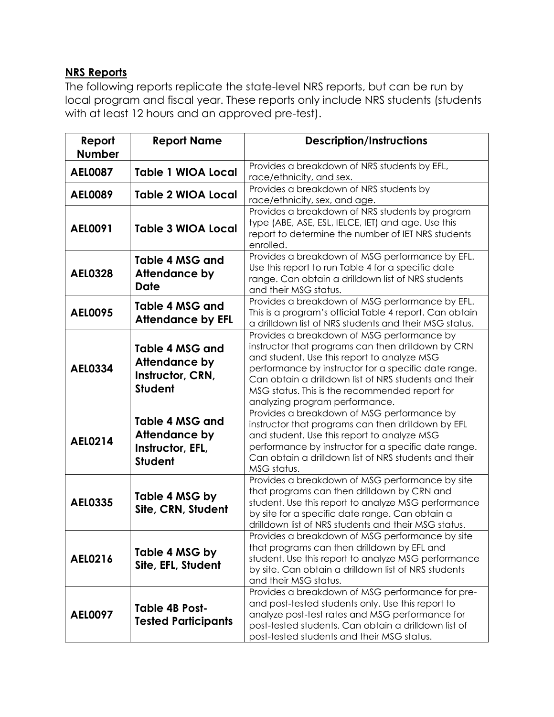#### <span id="page-4-0"></span>**NRS Reports**

The following reports replicate the state-level NRS reports, but can be run by local program and fiscal year. These reports only include NRS students (students with at least 12 hours and an approved pre-test).

| Report<br><b>Number</b> | <b>Report Name</b>                                                     | <b>Description/Instructions</b>                                                                                                                                                                                                                                                                                                                      |
|-------------------------|------------------------------------------------------------------------|------------------------------------------------------------------------------------------------------------------------------------------------------------------------------------------------------------------------------------------------------------------------------------------------------------------------------------------------------|
| <b>AEL0087</b>          | <b>Table 1 WIOA Local</b>                                              | Provides a breakdown of NRS students by EFL,<br>race/ethnicity, and sex.                                                                                                                                                                                                                                                                             |
| <b>AEL0089</b>          | <b>Table 2 WIOA Local</b>                                              | Provides a breakdown of NRS students by<br>race/ethnicity, sex, and age.                                                                                                                                                                                                                                                                             |
| AEL0091                 | <b>Table 3 WIOA Local</b>                                              | Provides a breakdown of NRS students by program<br>type (ABE, ASE, ESL, IELCE, IET) and age. Use this<br>report to determine the number of IET NRS students<br>enrolled.                                                                                                                                                                             |
| <b>AEL0328</b>          | Table 4 MSG and<br><b>Attendance by</b><br><b>Date</b>                 | Provides a breakdown of MSG performance by EFL.<br>Use this report to run Table 4 for a specific date<br>range. Can obtain a drilldown list of NRS students<br>and their MSG status.                                                                                                                                                                 |
| <b>AEL0095</b>          | Table 4 MSG and<br><b>Attendance by EFL</b>                            | Provides a breakdown of MSG performance by EFL.<br>This is a program's official Table 4 report. Can obtain<br>a drilldown list of NRS students and their MSG status.                                                                                                                                                                                 |
| <b>AEL0334</b>          | Table 4 MSG and<br>Attendance by<br>Instructor, CRN,<br><b>Student</b> | Provides a breakdown of MSG performance by<br>instructor that programs can then drilldown by CRN<br>and student. Use this report to analyze MSG<br>performance by instructor for a specific date range.<br>Can obtain a drilldown list of NRS students and their<br>MSG status. This is the recommended report for<br>analyzing program performance. |
| <b>AEL0214</b>          | Table 4 MSG and<br>Attendance by<br>Instructor, EFL,<br><b>Student</b> | Provides a breakdown of MSG performance by<br>instructor that programs can then drilldown by EFL<br>and student. Use this report to analyze MSG<br>performance by instructor for a specific date range.<br>Can obtain a drilldown list of NRS students and their<br>MSG status.                                                                      |
| <b>AEL0335</b>          | Table 4 MSG by<br>Site, CRN, Student                                   | Provides a breakdown of MSG performance by site<br>that programs can then drilldown by CRN and<br>student. Use this report to analyze MSG performance<br>by site for a specific date range. Can obtain a<br>drilldown list of NRS students and their MSG status.                                                                                     |
| AEL0216                 | Table 4 MSG by<br>Site, EFL, Student                                   | Provides a breakdown of MSG performance by site<br>that programs can then drilldown by EFL and<br>student. Use this report to analyze MSG performance<br>by site. Can obtain a drilldown list of NRS students<br>and their MSG status.                                                                                                               |
| <b>AEL0097</b>          | <b>Table 4B Post-</b><br><b>Tested Participants</b>                    | Provides a breakdown of MSG performance for pre-<br>and post-tested students only. Use this report to<br>analyze post-test rates and MSG performance for<br>post-tested students. Can obtain a drilldown list of<br>post-tested students and their MSG status.                                                                                       |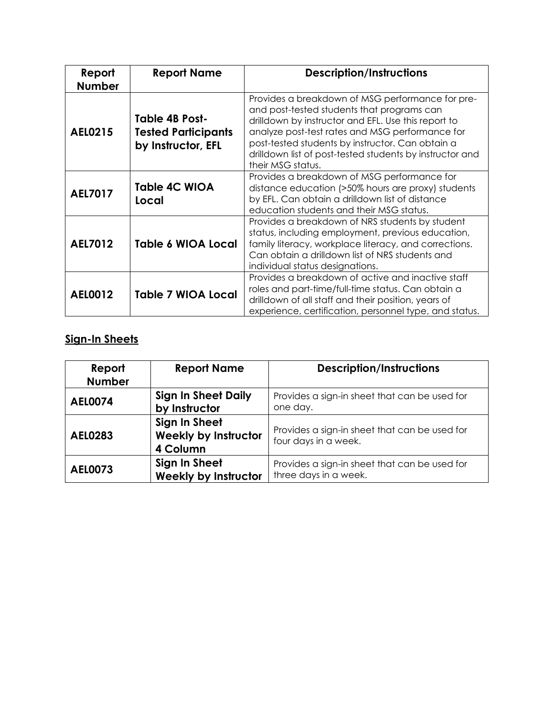| Report<br><b>Number</b> | <b>Report Name</b>                                                        | <b>Description/Instructions</b>                                                                                                                                                                                                                                                                                                               |
|-------------------------|---------------------------------------------------------------------------|-----------------------------------------------------------------------------------------------------------------------------------------------------------------------------------------------------------------------------------------------------------------------------------------------------------------------------------------------|
| <b>AEL0215</b>          | <b>Table 4B Post-</b><br><b>Tested Participants</b><br>by Instructor, EFL | Provides a breakdown of MSG performance for pre-<br>and post-tested students that programs can<br>drilldown by instructor and EFL. Use this report to<br>analyze post-test rates and MSG performance for<br>post-tested students by instructor. Can obtain a<br>drilldown list of post-tested students by instructor and<br>their MSG status. |
| <b>AEL7017</b>          | <b>Table 4C WIOA</b><br>Local                                             | Provides a breakdown of MSG performance for<br>distance education (>50% hours are proxy) students<br>by EFL. Can obtain a drilldown list of distance<br>education students and their MSG status.                                                                                                                                              |
| <b>AEL7012</b>          | Table 6 WIOA Local                                                        | Provides a breakdown of NRS students by student<br>status, including employment, previous education,<br>family literacy, workplace literacy, and corrections.<br>Can obtain a drilldown list of NRS students and<br>individual status designations.                                                                                           |
| <b>AEL0012</b>          | <b>Table 7 WIOA Local</b>                                                 | Provides a breakdown of active and inactive staff<br>roles and part-time/full-time status. Can obtain a<br>drilldown of all staff and their position, years of<br>experience, certification, personnel type, and status.                                                                                                                      |

## <span id="page-5-0"></span>**Sign-In Sheets**

| Report<br><b>Number</b> | <b>Report Name</b>                                       | <b>Description/Instructions</b>                                        |
|-------------------------|----------------------------------------------------------|------------------------------------------------------------------------|
| <b>AEL0074</b>          | <b>Sign In Sheet Daily</b><br>by Instructor              | Provides a sign-in sheet that can be used for<br>one day.              |
| <b>AEL0283</b>          | Sign In Sheet<br><b>Weekly by Instructor</b><br>4 Column | Provides a sign-in sheet that can be used for<br>four days in a week.  |
| <b>AEL0073</b>          | Sign In Sheet<br><b>Weekly by Instructor</b>             | Provides a sign-in sheet that can be used for<br>three days in a week. |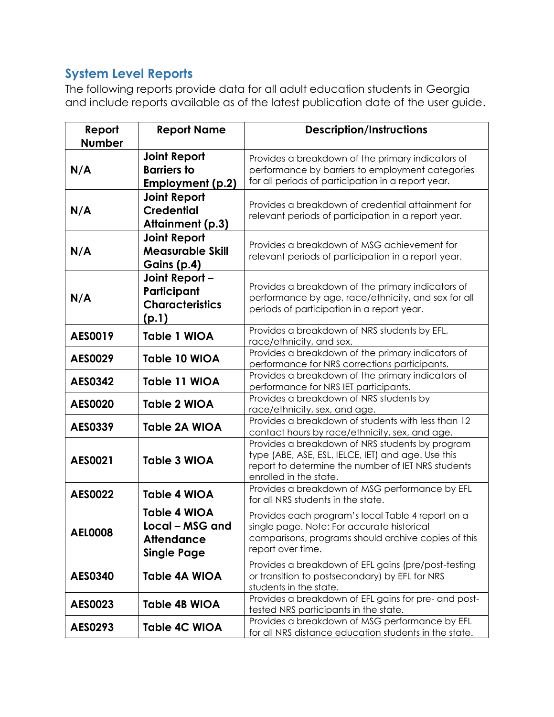# <span id="page-6-0"></span>**System Level Reports**

The following reports provide data for all adult education students in Georgia and include reports available as of the latest publication date of the user guide.

| Report         | <b>Report Name</b>                                                                | <b>Description/Instructions</b>                                                                                                                                                       |
|----------------|-----------------------------------------------------------------------------------|---------------------------------------------------------------------------------------------------------------------------------------------------------------------------------------|
| <b>Number</b>  |                                                                                   |                                                                                                                                                                                       |
| N/A            | <b>Joint Report</b><br><b>Barriers to</b><br>Employment (p.2)                     | Provides a breakdown of the primary indicators of<br>performance by barriers to employment categories<br>for all periods of participation in a report year.                           |
| N/A            | <b>Joint Report</b><br><b>Credential</b><br>Attainment (p.3)                      | Provides a breakdown of credential attainment for<br>relevant periods of participation in a report year.                                                                              |
| N/A            | <b>Joint Report</b><br><b>Measurable Skill</b><br>Gains (p.4)                     | Provides a breakdown of MSG achievement for<br>relevant periods of participation in a report year.                                                                                    |
| N/A            | Joint Report -<br>Participant<br><b>Characteristics</b><br>(p.1)                  | Provides a breakdown of the primary indicators of<br>performance by age, race/ethnicity, and sex for all<br>periods of participation in a report year.                                |
| AES0019        | Table 1 WIOA                                                                      | Provides a breakdown of NRS students by EFL,<br>race/ethnicity, and sex.                                                                                                              |
| AES0029        | Table 10 WIOA                                                                     | Provides a breakdown of the primary indicators of<br>performance for NRS corrections participants.                                                                                    |
| <b>AES0342</b> | Table 11 WIOA                                                                     | Provides a breakdown of the primary indicators of<br>performance for NRS IET participants.                                                                                            |
| <b>AES0020</b> | Table 2 WIOA                                                                      | Provides a breakdown of NRS students by<br>race/ethnicity, sex, and age.                                                                                                              |
| AES0339        | Table 2A WIOA                                                                     | Provides a breakdown of students with less than 12<br>contact hours by race/ethnicity, sex, and age.                                                                                  |
| <b>AES0021</b> | <b>Table 3 WIOA</b>                                                               | Provides a breakdown of NRS students by program<br>type (ABE, ASE, ESL, IELCE, IET) and age. Use this<br>report to determine the number of IET NRS students<br>enrolled in the state. |
| <b>AES0022</b> | <b>Table 4 WIOA</b>                                                               | Provides a breakdown of MSG performance by EFL<br>for all NRS students in the state.                                                                                                  |
| <b>AEL0008</b> | <b>Table 4 WIOA</b><br>Local – MSG and<br><b>Attendance</b><br><b>Single Page</b> | Provides each program's local Table 4 report on a<br>single page. Note: For accurate historical<br>comparisons, programs should archive copies of this<br>report over time.           |
| <b>AES0340</b> | <b>Table 4A WIOA</b>                                                              | Provides a breakdown of EFL gains (pre/post-testing<br>or transition to postsecondary) by EFL for NRS<br>students in the state.                                                       |
| AES0023        | Table 4B WIOA                                                                     | Provides a breakdown of EFL gains for pre- and post-<br>tested NRS participants in the state.                                                                                         |
| AES0293        | <b>Table 4C WIOA</b>                                                              | Provides a breakdown of MSG performance by EFL<br>for all NRS distance education students in the state.                                                                               |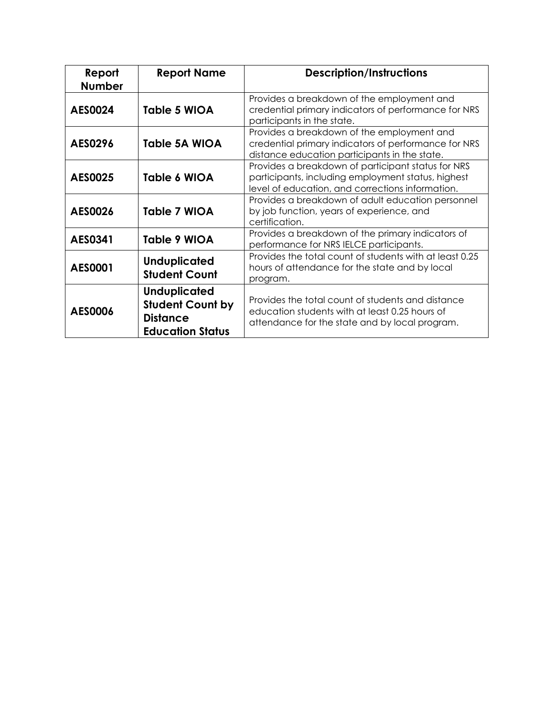| Report<br><b>Number</b> | <b>Report Name</b>                                                                           | <b>Description/Instructions</b>                                                                                                                              |
|-------------------------|----------------------------------------------------------------------------------------------|--------------------------------------------------------------------------------------------------------------------------------------------------------------|
| <b>AES0024</b>          | <b>Table 5 WIOA</b>                                                                          | Provides a breakdown of the employment and<br>credential primary indicators of performance for NRS<br>participants in the state.                             |
| AES0296                 | Table 5A WIOA                                                                                | Provides a breakdown of the employment and<br>credential primary indicators of performance for NRS<br>distance education participants in the state.          |
| <b>AES0025</b>          | Table 6 WIOA                                                                                 | Provides a breakdown of participant status for NRS<br>participants, including employment status, highest<br>level of education, and corrections information. |
| AES0026                 | Table 7 WIOA                                                                                 | Provides a breakdown of adult education personnel<br>by job function, years of experience, and<br>certification.                                             |
| AES0341                 | Table 9 WIOA                                                                                 | Provides a breakdown of the primary indicators of<br>performance for NRS IELCE participants.                                                                 |
| AES0001                 | <b>Unduplicated</b><br><b>Student Count</b>                                                  | Provides the total count of students with at least 0.25<br>hours of attendance for the state and by local<br>program.                                        |
| AES0006                 | <b>Unduplicated</b><br><b>Student Count by</b><br><b>Distance</b><br><b>Education Status</b> | Provides the total count of students and distance<br>education students with at least 0.25 hours of<br>attendance for the state and by local program.        |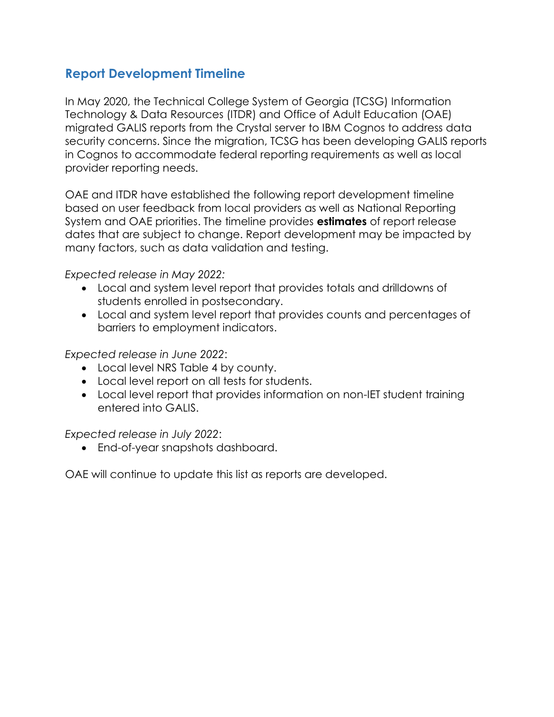## <span id="page-8-0"></span>**Report Development Timeline**

In May 2020, the Technical College System of Georgia (TCSG) Information Technology & Data Resources (ITDR) and Office of Adult Education (OAE) migrated GALIS reports from the Crystal server to IBM Cognos to address data security concerns. Since the migration, TCSG has been developing GALIS reports in Cognos to accommodate federal reporting requirements as well as local provider reporting needs.

OAE and ITDR have established the following report development timeline based on user feedback from local providers as well as National Reporting System and OAE priorities. The timeline provides **estimates** of report release dates that are subject to change. Report development may be impacted by many factors, such as data validation and testing.

*Expected release in May 2022:* 

- Local and system level report that provides totals and drilldowns of students enrolled in postsecondary.
- Local and system level report that provides counts and percentages of barriers to employment indicators.

*Expected release in June 2022*:

- Local level NRS Table 4 by county.
- Local level report on all tests for students.
- Local level report that provides information on non-IET student training entered into GALIS.

*Expected release in July 2022*:

End-of-year snapshots dashboard.

OAE will continue to update this list as reports are developed.